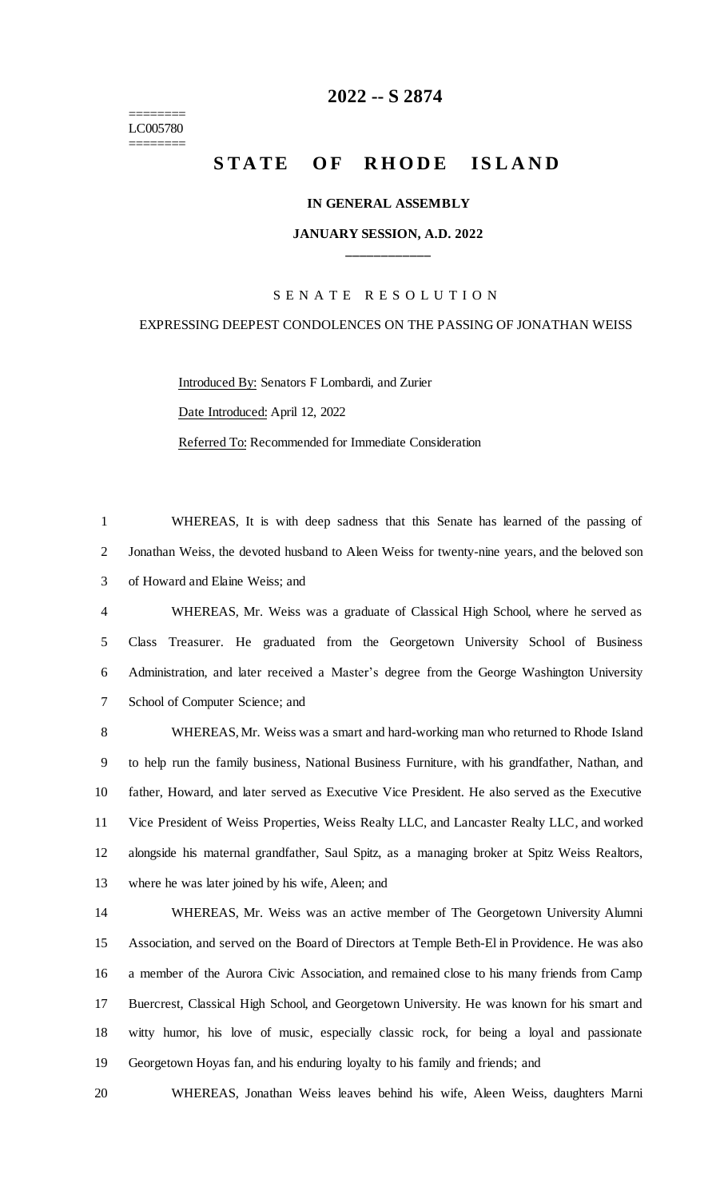======== LC005780 ========

# **-- S 2874**

# **STATE OF RHODE ISLAND**

#### **IN GENERAL ASSEMBLY**

## **JANUARY SESSION, A.D. 2022 \_\_\_\_\_\_\_\_\_\_\_\_**

## S E N A T E R E S O L U T I O N

### EXPRESSING DEEPEST CONDOLENCES ON THE PASSING OF JONATHAN WEISS

Introduced By: Senators F Lombardi, and Zurier

Date Introduced: April 12, 2022

Referred To: Recommended for Immediate Consideration

 WHEREAS, It is with deep sadness that this Senate has learned of the passing of Jonathan Weiss, the devoted husband to Aleen Weiss for twenty-nine years, and the beloved son of Howard and Elaine Weiss; and

 WHEREAS, Mr. Weiss was a graduate of Classical High School, where he served as Class Treasurer. He graduated from the Georgetown University School of Business Administration, and later received a Master's degree from the George Washington University School of Computer Science; and

 WHEREAS, Mr. Weiss was a smart and hard-working man who returned to Rhode Island to help run the family business, National Business Furniture, with his grandfather, Nathan, and father, Howard, and later served as Executive Vice President. He also served as the Executive Vice President of Weiss Properties, Weiss Realty LLC, and Lancaster Realty LLC, and worked alongside his maternal grandfather, Saul Spitz, as a managing broker at Spitz Weiss Realtors, where he was later joined by his wife, Aleen; and

 WHEREAS, Mr. Weiss was an active member of The Georgetown University Alumni Association, and served on the Board of Directors at Temple Beth-El in Providence. He was also a member of the Aurora Civic Association, and remained close to his many friends from Camp Buercrest, Classical High School, and Georgetown University. He was known for his smart and witty humor, his love of music, especially classic rock, for being a loyal and passionate Georgetown Hoyas fan, and his enduring loyalty to his family and friends; and

WHEREAS, Jonathan Weiss leaves behind his wife, Aleen Weiss, daughters Marni